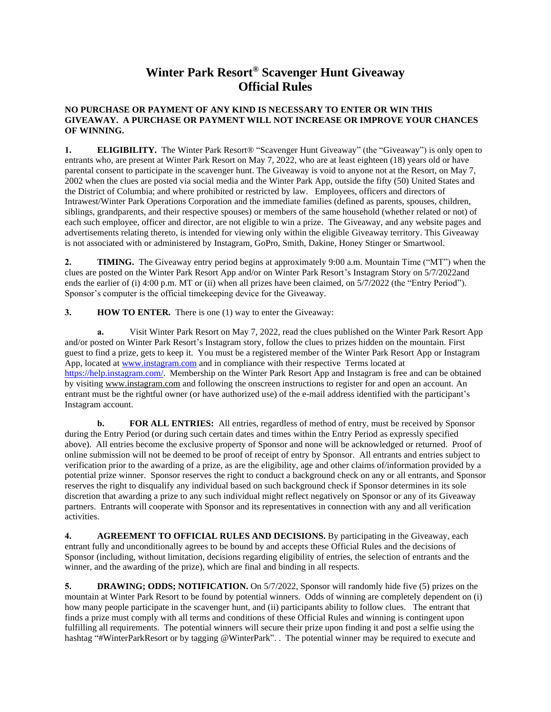## **Winter Park Resort® Scavenger Hunt Giveaway Official Rules**

## **NO PURCHASE OR PAYMENT OF ANY KIND IS NECESSARY TO ENTER OR WIN THIS GIVEAWAY. A PURCHASE OR PAYMENT WILL NOT INCREASE OR IMPROVE YOUR CHANCES OF WINNING.**

**1. ELIGIBILITY.** The Winter Park Resort® "Scavenger Hunt Giveaway" (the "Giveaway") is only open to entrants who, are present at Winter Park Resort on May 7, 2022, who are at least eighteen (18) years old or have parental consent to participate in the scavenger hunt. The Giveaway is void to anyone not at the Resort, on May 7, 2002 when the clues are posted via social media and the Winter Park App, outside the fifty (50) United States and the District of Columbia; and where prohibited or restricted by law.Employees, officers and directors of Intrawest/Winter Park Operations Corporation and the immediate families (defined as parents, spouses, children, siblings, grandparents, and their respective spouses) or members of the same household (whether related or not) of each such employee, officer and director, are not eligible to win a prize. The Giveaway, and any website pages and advertisements relating thereto, is intended for viewing only within the eligible Giveaway territory. This Giveaway is not associated with or administered by Instagram, GoPro, Smith, Dakine, Honey Stinger or Smartwool.

**2. TIMING.** The Giveaway entry period begins at approximately 9:00 a.m. Mountain Time ("MT") when the clues are posted on the Winter Park Resort App and/or on Winter Park Resort's Instagram Story on 5/7/2022and ends the earlier of (i) 4:00 p.m. MT or (ii) when all prizes have been claimed, on  $5/7/2022$  (the "Entry Period"). Sponsor's computer is the official timekeeping device for the Giveaway.

**3. HOW TO ENTER.** There is one (1) way to enter the Giveaway:

**a.** Visit Winter Park Resort on May 7, 2022, read the clues published on the Winter Park Resort App and/or posted on Winter Park Resort's Instagram story, follow the clues to prizes hidden on the mountain. First guest to find a prize, gets to keep it. You must be a registered member of the Winter Park Resort App or Instagram App, located at [www.instagram.com](http://www.instagram.com/) and in compliance with their respective Terms located at [https://help.instagram.com/.](https://help.instagram.com/) Membership on the Winter Park Resort App and Instagram is free and can be obtained by visiting www.instagram.com and following the onscreen instructions to register for and open an account. An entrant must be the rightful owner (or have authorized use) of the e-mail address identified with the participant's Instagram account.

**b. FOR ALL ENTRIES:** All entries, regardless of method of entry, must be received by Sponsor during the Entry Period (or during such certain dates and times within the Entry Period as expressly specified above). All entries become the exclusive property of Sponsor and none will be acknowledged or returned. Proof of online submission will not be deemed to be proof of receipt of entry by Sponsor. All entrants and entries subject to verification prior to the awarding of a prize, as are the eligibility, age and other claims of/information provided by a potential prize winner. Sponsor reserves the right to conduct a background check on any or all entrants, and Sponsor reserves the right to disqualify any individual based on such background check if Sponsor determines in its sole discretion that awarding a prize to any such individual might reflect negatively on Sponsor or any of its Giveaway partners. Entrants will cooperate with Sponsor and its representatives in connection with any and all verification activities.

**4. AGREEMENT TO OFFICIAL RULES AND DECISIONS.** By participating in the Giveaway, each entrant fully and unconditionally agrees to be bound by and accepts these Official Rules and the decisions of Sponsor (including, without limitation, decisions regarding eligibility of entries, the selection of entrants and the winner, and the awarding of the prize), which are final and binding in all respects.

**5. DRAWING; ODDS; NOTIFICATION.** On 5/7/2022, Sponsor will randomly hide five (5) prizes on the mountain at Winter Park Resort to be found by potential winners. Odds of winning are completely dependent on (i) how many people participate in the scavenger hunt, and (ii) participants ability to follow clues. The entrant that finds a prize must comply with all terms and conditions of these Official Rules and winning is contingent upon fulfilling all requirements. The potential winners will secure their prize upon finding it and post a selfie using the hashtag "#WinterParkResort or by tagging @WinterPark". The potential winner may be required to execute and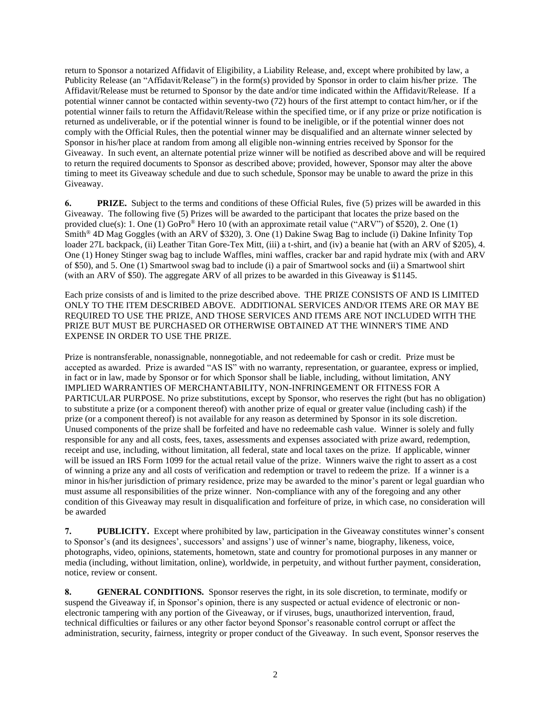return to Sponsor a notarized Affidavit of Eligibility, a Liability Release, and, except where prohibited by law, a Publicity Release (an "Affidavit/Release") in the form(s) provided by Sponsor in order to claim his/her prize. The Affidavit/Release must be returned to Sponsor by the date and/or time indicated within the Affidavit/Release. If a potential winner cannot be contacted within seventy-two (72) hours of the first attempt to contact him/her, or if the potential winner fails to return the Affidavit/Release within the specified time, or if any prize or prize notification is returned as undeliverable, or if the potential winner is found to be ineligible, or if the potential winner does not comply with the Official Rules, then the potential winner may be disqualified and an alternate winner selected by Sponsor in his/her place at random from among all eligible non-winning entries received by Sponsor for the Giveaway. In such event, an alternate potential prize winner will be notified as described above and will be required to return the required documents to Sponsor as described above; provided, however, Sponsor may alter the above timing to meet its Giveaway schedule and due to such schedule, Sponsor may be unable to award the prize in this Giveaway.

**6. PRIZE.** Subject to the terms and conditions of these Official Rules, five (5) prizes will be awarded in this Giveaway. The following five (5) Prizes will be awarded to the participant that locates the prize based on the provided clue(s): 1. One (1) GoPro® Hero 10 (with an approximate retail value ("ARV") of \$520), 2. One (1) Smith® 4D Mag Goggles (with an ARV of \$320), 3. One (1) Dakine Swag Bag to include (i) Dakine Infinity Top loader 27L backpack, (ii) Leather Titan Gore-Tex Mitt, (iii) a t-shirt, and (iv) a beanie hat (with an ARV of \$205), 4. One (1) Honey Stinger swag bag to include Waffles, mini waffles, cracker bar and rapid hydrate mix (with and ARV of \$50), and 5. One (1) Smartwool swag bad to include (i) a pair of Smartwool socks and (ii) a Smartwool shirt (with an ARV of \$50). The aggregate ARV of all prizes to be awarded in this Giveaway is \$1145.

Each prize consists of and is limited to the prize described above. THE PRIZE CONSISTS OF AND IS LIMITED ONLY TO THE ITEM DESCRIBED ABOVE. ADDITIONAL SERVICES AND/OR ITEMS ARE OR MAY BE REQUIRED TO USE THE PRIZE, AND THOSE SERVICES AND ITEMS ARE NOT INCLUDED WITH THE PRIZE BUT MUST BE PURCHASED OR OTHERWISE OBTAINED AT THE WINNER'S TIME AND EXPENSE IN ORDER TO USE THE PRIZE.

Prize is nontransferable, nonassignable, nonnegotiable, and not redeemable for cash or credit. Prize must be accepted as awarded. Prize is awarded "AS IS" with no warranty, representation, or guarantee, express or implied, in fact or in law, made by Sponsor or for which Sponsor shall be liable, including, without limitation, ANY IMPLIED WARRANTIES OF MERCHANTABILITY, NON-INFRINGEMENT OR FITNESS FOR A PARTICULAR PURPOSE. No prize substitutions, except by Sponsor, who reserves the right (but has no obligation) to substitute a prize (or a component thereof) with another prize of equal or greater value (including cash) if the prize (or a component thereof) is not available for any reason as determined by Sponsor in its sole discretion. Unused components of the prize shall be forfeited and have no redeemable cash value. Winner is solely and fully responsible for any and all costs, fees, taxes, assessments and expenses associated with prize award, redemption, receipt and use, including, without limitation, all federal, state and local taxes on the prize. If applicable, winner will be issued an IRS Form 1099 for the actual retail value of the prize. Winners waive the right to assert as a cost of winning a prize any and all costs of verification and redemption or travel to redeem the prize. If a winner is a minor in his/her jurisdiction of primary residence, prize may be awarded to the minor's parent or legal guardian who must assume all responsibilities of the prize winner. Non-compliance with any of the foregoing and any other condition of this Giveaway may result in disqualification and forfeiture of prize, in which case, no consideration will be awarded

**7. PUBLICITY.** Except where prohibited by law, participation in the Giveaway constitutes winner's consent to Sponsor's (and its designees', successors' and assigns') use of winner's name, biography, likeness, voice, photographs, video, opinions, statements, hometown, state and country for promotional purposes in any manner or media (including, without limitation, online), worldwide, in perpetuity, and without further payment, consideration, notice, review or consent.

**8. GENERAL CONDITIONS.** Sponsor reserves the right, in its sole discretion, to terminate, modify or suspend the Giveaway if, in Sponsor's opinion, there is any suspected or actual evidence of electronic or nonelectronic tampering with any portion of the Giveaway, or if viruses, bugs, unauthorized intervention, fraud, technical difficulties or failures or any other factor beyond Sponsor's reasonable control corrupt or affect the administration, security, fairness, integrity or proper conduct of the Giveaway. In such event, Sponsor reserves the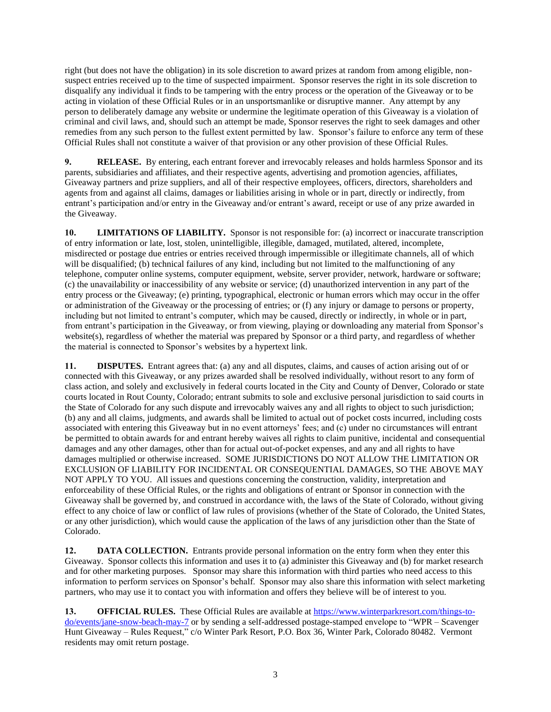right (but does not have the obligation) in its sole discretion to award prizes at random from among eligible, nonsuspect entries received up to the time of suspected impairment. Sponsor reserves the right in its sole discretion to disqualify any individual it finds to be tampering with the entry process or the operation of the Giveaway or to be acting in violation of these Official Rules or in an unsportsmanlike or disruptive manner. Any attempt by any person to deliberately damage any website or undermine the legitimate operation of this Giveaway is a violation of criminal and civil laws, and, should such an attempt be made, Sponsor reserves the right to seek damages and other remedies from any such person to the fullest extent permitted by law. Sponsor's failure to enforce any term of these Official Rules shall not constitute a waiver of that provision or any other provision of these Official Rules.

**9. RELEASE.** By entering, each entrant forever and irrevocably releases and holds harmless Sponsor and its parents, subsidiaries and affiliates, and their respective agents, advertising and promotion agencies, affiliates, Giveaway partners and prize suppliers, and all of their respective employees, officers, directors, shareholders and agents from and against all claims, damages or liabilities arising in whole or in part, directly or indirectly, from entrant's participation and/or entry in the Giveaway and/or entrant's award, receipt or use of any prize awarded in the Giveaway.

**10. LIMITATIONS OF LIABILITY.** Sponsor is not responsible for: (a) incorrect or inaccurate transcription of entry information or late, lost, stolen, unintelligible, illegible, damaged, mutilated, altered, incomplete, misdirected or postage due entries or entries received through impermissible or illegitimate channels, all of which will be disqualified; (b) technical failures of any kind, including but not limited to the malfunctioning of any telephone, computer online systems, computer equipment, website, server provider, network, hardware or software; (c) the unavailability or inaccessibility of any website or service; (d) unauthorized intervention in any part of the entry process or the Giveaway; (e) printing, typographical, electronic or human errors which may occur in the offer or administration of the Giveaway or the processing of entries; or (f) any injury or damage to persons or property, including but not limited to entrant's computer, which may be caused, directly or indirectly, in whole or in part, from entrant's participation in the Giveaway, or from viewing, playing or downloading any material from Sponsor's website(s), regardless of whether the material was prepared by Sponsor or a third party, and regardless of whether the material is connected to Sponsor's websites by a hypertext link.

**11. DISPUTES.** Entrant agrees that: (a) any and all disputes, claims, and causes of action arising out of or connected with this Giveaway, or any prizes awarded shall be resolved individually, without resort to any form of class action, and solely and exclusively in federal courts located in the City and County of Denver, Colorado or state courts located in Rout County, Colorado; entrant submits to sole and exclusive personal jurisdiction to said courts in the State of Colorado for any such dispute and irrevocably waives any and all rights to object to such jurisdiction; (b) any and all claims, judgments, and awards shall be limited to actual out of pocket costs incurred, including costs associated with entering this Giveaway but in no event attorneys' fees; and (c) under no circumstances will entrant be permitted to obtain awards for and entrant hereby waives all rights to claim punitive, incidental and consequential damages and any other damages, other than for actual out-of-pocket expenses, and any and all rights to have damages multiplied or otherwise increased. SOME JURISDICTIONS DO NOT ALLOW THE LIMITATION OR EXCLUSION OF LIABILITY FOR INCIDENTAL OR CONSEQUENTIAL DAMAGES, SO THE ABOVE MAY NOT APPLY TO YOU. All issues and questions concerning the construction, validity, interpretation and enforceability of these Official Rules, or the rights and obligations of entrant or Sponsor in connection with the Giveaway shall be governed by, and construed in accordance with, the laws of the State of Colorado, without giving effect to any choice of law or conflict of law rules of provisions (whether of the State of Colorado, the United States, or any other jurisdiction), which would cause the application of the laws of any jurisdiction other than the State of Colorado.

**12. DATA COLLECTION.** Entrants provide personal information on the entry form when they enter this Giveaway. Sponsor collects this information and uses it to (a) administer this Giveaway and (b) for market research and for other marketing purposes. Sponsor may share this information with third parties who need access to this information to perform services on Sponsor's behalf. Sponsor may also share this information with select marketing partners, who may use it to contact you with information and offers they believe will be of interest to you.

**13. OFFICIAL RULES.** These Official Rules are available at [https://www.winterparkresort.com/things-to](https://www.winterparkresort.com/things-to-do/events/jane-snow-beach-may-7)[do/events/jane-snow-beach-may-7](https://www.winterparkresort.com/things-to-do/events/jane-snow-beach-may-7) or by sending a self-addressed postage-stamped envelope to "WPR – Scavenger Hunt Giveaway – Rules Request," c/o Winter Park Resort, P.O. Box 36, Winter Park, Colorado 80482. Vermont residents may omit return postage.